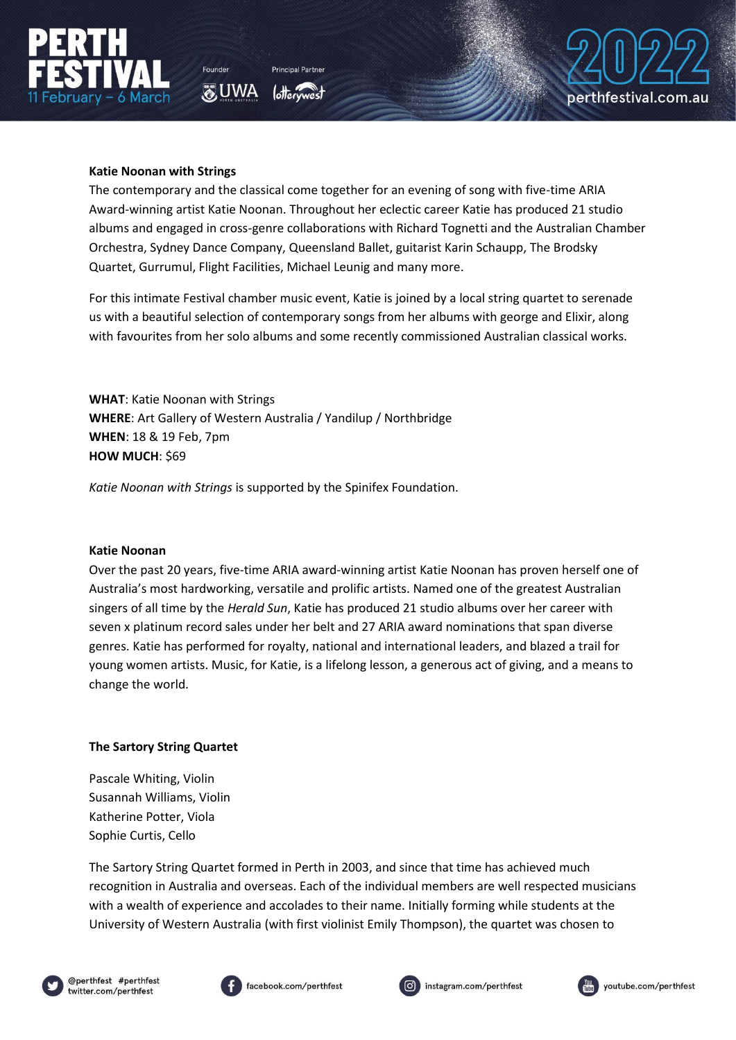



**O** UWA



## **Katie Noonan with Strings**

The contemporary and the classical come together for an evening of song with five-time ARIA Award-winning artist Katie Noonan. Throughout her eclectic career Katie has produced 21 studio albums and engaged in cross-genre collaborations with Richard Tognetti and the Australian Chamber Orchestra, Sydney Dance Company, Queensland Ballet, guitarist Karin Schaupp, The Brodsky Quartet, Gurrumul, Flight Facilities, Michael Leunig and many more.

For this intimate Festival chamber music event, Katie is joined by a local string quartet to serenade us with a beautiful selection of contemporary songs from her albums with george and Elixir, along with favourites from her solo albums and some recently commissioned Australian classical works.

**WHAT**: Katie Noonan with Strings **WHERE**: Art Gallery of Western Australia / Yandilup / Northbridge **WHEN**: 18 & 19 Feb, 7pm **HOW MUCH: \$69** 

*Katie Noonan with Strings* is supported by the Spinifex Foundation.

### **Katie Noonan**

Over the past 20 years, five-time ARIA award-winning artist Katie Noonan has proven herself one of Australia's most hardworking, versatile and prolific artists. Named one of the greatest Australian singers of all time by the *Herald Sun*, Katie has produced 21 studio albums over her career with seven x platinum record sales under her belt and 27 ARIA award nominations that span diverse genres. Katie has performed for royalty, national and international leaders, and blazed a trail for young women artists. Music, for Katie, is a lifelong lesson, a generous act of giving, and a means to change the world.

### **The Sartory String Quartet**

Pascale Whiting, Violin Susannah Williams, Violin Katherine Potter, Viola Sophie Curtis, Cello

The Sartory String Quartet formed in Perth in 2003, and since that time has achieved much recognition in Australia and overseas. Each of the individual members are well respected musicians with a wealth of experience and accolades to their name. Initially forming while students at the University of Western Australia (with first violinist Emily Thompson), the quartet was chosen to